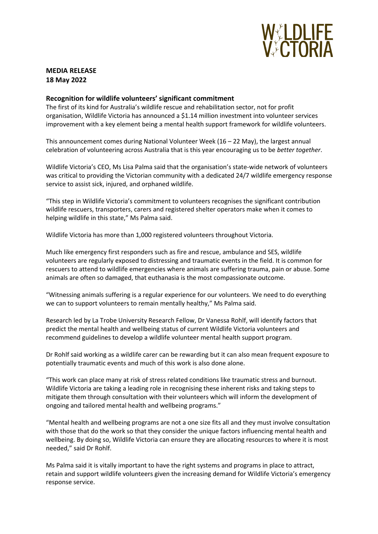

## **MEDIA RELEASE 18 May 2022**

## **Recognition for wildlife volunteers' significant commitment**

The first of its kind for Australia's wildlife rescue and rehabilitation sector, not for profit organisation, Wildlife Victoria has announced a \$1.14 million investment into volunteer services improvement with a key element being a mental health support framework for wildlife volunteers.

This announcement comes during National Volunteer Week ( $16 - 22$  May), the largest annual celebration of volunteering across Australia that is this year encouraging us to be *better together*.

Wildlife Victoria's CEO, Ms Lisa Palma said that the organisation's state-wide network of volunteers was critical to providing the Victorian community with a dedicated 24/7 wildlife emergency response service to assist sick, injured, and orphaned wildlife.

"This step in Wildlife Victoria's commitment to volunteers recognises the significant contribution wildlife rescuers, transporters, carers and registered shelter operators make when it comes to helping wildlife in this state," Ms Palma said.

Wildlife Victoria has more than 1,000 registered volunteers throughout Victoria.

Much like emergency first responders such as fire and rescue, ambulance and SES, wildlife volunteers are regularly exposed to distressing and traumatic events in the field. It is common for rescuers to attend to wildlife emergencies where animals are suffering trauma, pain or abuse. Some animals are often so damaged, that euthanasia is the most compassionate outcome.

"Witnessing animals suffering is a regular experience for our volunteers. We need to do everything we can to support volunteers to remain mentally healthy," Ms Palma said.

Research led by La Trobe University Research Fellow, Dr Vanessa Rohlf, will identify factors that predict the mental health and wellbeing status of current Wildlife Victoria volunteers and recommend guidelines to develop a wildlife volunteer mental health support program.

Dr Rohlf said working as a wildlife carer can be rewarding but it can also mean frequent exposure to potentially traumatic events and much of this work is also done alone.

"This work can place many at risk of stress related conditions like traumatic stress and burnout. Wildlife Victoria are taking a leading role in recognising these inherent risks and taking steps to mitigate them through consultation with their volunteers which will inform the development of ongoing and tailored mental health and wellbeing programs."

"Mental health and wellbeing programs are not a one size fits all and they must involve consultation with those that do the work so that they consider the unique factors influencing mental health and wellbeing. By doing so, Wildlife Victoria can ensure they are allocating resources to where it is most needed," said Dr Rohlf.

Ms Palma said it is vitally important to have the right systems and programs in place to attract, retain and support wildlife volunteers given the increasing demand for Wildlife Victoria's emergency response service.